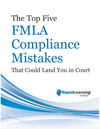# The Top Five FMLA Compliance Mistakes

# That Could Land You in Court

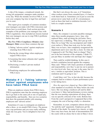A slip of the tongue, a misplaced remark, the wrong job assignment: managers make mistakes every day. When the mistake involves FMLA, it can cost your company big time in legal fees and land you in court.

This report gives examples of common mistakes your managers can make with FMLA decisions and shows how to avoid them. Each section provides examples of the problems your managers face with FMLA regulations. Also included are lessons learned that your managers can use to stop FMLA problems before they start.

#### *The Five FMLA Compliance Mistakes Line Managers Make* covers these common slip ups:

- 1) Taking "adverse action" against employees returning from FMLA leave
- 2) Saying the wrong things when employees request FMLA leave
- 3) Assuming that minor ailments don't quality for FMLA leave
- 4) Disclosing a worker's private medical information
- 5) Penalizing employees for unforeseeable FMLA leave

# **Mistake # 1 - Taking 'adverse action' against employees who have taken FMLA leave**

When an employee returns from FMLA leave, FMLA regulations state that the returning employee has to go back to the same job or one of equal pay, responsibility, and benefits. Here are two scenarios that show the potential pitfalls with returning employees and "adverse action".

Sometimes it's easy to reintegrate an employee after a three- or six-month FMLA leave. The person was a top performer and you were really suffering while she was gone. You're delighted to have her back.

But that's not always the case, is it? Sometimes when workers return from extended leave, it's hard to work them back in. Sometimes you'd just as soon the person never came back at all. It's circumstances such as these that lead to retaliation lawsuits. Let's look at a couple scenarios:

#### **Scenario 1**

Mary, the company's accounts payables manager, takes three months pregnancy leave. Jane, who replaced Mary, ends up doing the job better. Dave, her supervisor, is thinking, "Why did I put up with Mary for so long? She was incompetent and I didn't even realize it. When Jane took over for her while Mary was on leave, Jane completely reorganized the department and it now runs like a clock. So what am I supposed to do? Put Mary back in charge? That's not in the best interests of the company. I think I'll just put Mary in another role and hope she's happy."

That could be wishful thinking. In this case it invited a retaliation lawsuit against the company. Mary said: "When I left I had a position of authority and responsibility; now they've put me out to pasture in a low-level role. Sure, my pay is the same, but it's not a 'similar or equivalent' position. This is retaliation and I'm going to sue."

Could Mary win? Yes, in fact she did, because the company had no evidence of poor performance prior to her taking leave.

*How the supervisor slipped up:* Dave didn't have a clear standard of excellence for Mary before she took leave. She was doing a mediocre job and he didn't even know it. Mary had performance reviews stating that she was meeting expectations all along; there was no specific criticism of her work. Bottom line: From the court's perspective it appeared that at this company the cost of having a baby is a demotion.

Remember, in court, companies almost always lose "he said/she said" arguments. Employees get the benefit of the doubt. No matter how sincere, or right, Dave may have been, the lack of documentation left the courts with no choice but to rule in Mary's favor.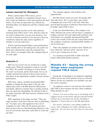#### **Lesson learned for Managers**

When a person takes FMLA leave, you're extremely vulnerable to a retaliation lawsuit if you don't return an employee to the same position she had before. Or at least an equivalent one. Effectively demoting Mary was dangerous and this company paid the price.

How careful do you have to be with someone returning from FMLA leave? Very. But the courts do not want to dictate how you run your business. You can fire or demote a person if you can prove that you would have taken the same action regardless of whether or not she took leave.

If Dave had documented Mary's poor performance in the months prior to her taking leave, he could very likely have demoted her when she returned from leave. Here's an example where the company played its cards right:

#### **Scenario 2**

Bill was out on leave for six months for a major health crisis. When he returned to work he was still not 100%. He couldn't lift things as well as before. He wasn't as focused, and he tired easily. Fact is, he couldn't perform his old job at the level he used to, and others in the department wouldn't tolerate sub-par performance.

Bill's boss, Jackie, carefully documented Bill's inability to handle the basic tasks of the job. She talked many times with Bill about his deficiencies and finally offered to transfer him to another position that was much less demanding. He refused to take it. So Jackie fired him. Bill then sued for violation of his FMLA rights.

Bill's argument to the judge was that, "They got angry because I took leave and now they're punishing me." In many cases, that argument wins a lot of sympathy in court. After all, the person may have been on leave due to a life-threatening illnesses or the loss of a loved one; then they come back to work and get fired.

The company appears cold, heartless and opportunistic.

But that doesn't mean you can't fire people after they take leave. We've seen many cases where companies got away with it, but only when they proved that the person would have been fired even if he hadn't taken FMLA leave.

In the case described above, the company won. Why? Because the courts will not force a company to employ a person who can't physically perform a job. And Jackie very carefully documented that Bill wasn't up to snuff. In the end, the courts believed that the company would have transferred Bill whether or not he took leave.

That's the standard you need to meet. Would you have taken the "adverse action" anyway? If so, you've got a strong case in court.

As a measure of good faith, it didn't hurt that Jackie offered Bill another position.

#### **Mistake #2 - Saying the wrong things when employees request FMLA leave**

Saying the wrong thing to an employee regarding FMLA can be one of the quickest ways to a lawsuit. Below are the two responses you shouldn't use and the correct response.

An employee comes to you and says she needs to take FMLA leave because she has a back condition. What should you say?

*Correct: I'm sorry to hear you're not feeling well. I suggest you go to the doctor and get yourself treated. And get me a note from your doctor, including a diagnosis. I'll pass that on to the HR department.*

*Not correct: You know, your timing couldn't be worse. Your colleagues are really counting on you right now. Are you sure you can't stay on a few more days?*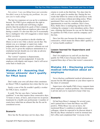*Not correct: I saw you lifting boxes just yesterday. You didn't seem to be having any problems. Are you sure you're really ailing?*

The last two responses set you up for a retaliation lawsuit. The FMLA gives employees the right to make their own health and well-being a higher priority than the productivity goals of their company. Sure, it's very hard when an employee takes time off during a crunch. It's also true that you'll occasionally have a malingerer who will exaggerate a minor injury and let you down.

But you're in no position to decide whether an illness is real or not. Only a doctor can do that. The minute you, as a manager or supervisor, make judgments about whether a person's ailments are real or not, you've given the employee ammunition in a retaliation lawsuit should you ever take an adverse action against the person.

The "correct" response is dispassionate, compassionate and non-judgmental. It treats the employee with dignity and respect. And it will never come back to haunt you.

# **Mistake #3 - Assuming that 'minor ailments' don't qualify for FMLA leave**

Don't make your own call about what constitutes an illness? FMLA regulations have done that for you.

Surely a case of the flu wouldn't qualify a worker for FMLA leave, would it?

It could. The law says that a "serious health condition" is one that requires three consecutive days, 72 hours or more, of leave, and at least two in-person treatments by a health care professional. A number of courts have ruled that an ailment like the flu can be considered severe.

#### **Scenario**

Dave has the flu and stays out two days, then

returns to work on the third day. Two days later he calls in sick again for another day. During the two weeks that follow he comes in late and leaves work early several times without providing notice. When questioned, Dave says he was attending doctor's appointments to treat his condition. Dave's boss, Rick, thinks Dave is malingering and fires him for violating the company's strict attendance policy. Dave sues, claiming that because he was out for three days, he qualifies for FMLA leave and the company can't fire him.

Dave lost this case because his absences weren't consecutive, which means his illness didn't qualify as a "serious health condition."

#### **Lesson learned for Supervisors and Managers**

Don't let employees try and tell you that they qualify for FMLA leave because their ailment required three days of leave that weren't consecutive.

# **Mistake #4 - Disclosing private medical information about an employee**

Never disclose confidential medical information to anyone but the HR department or your direct report in the chain of command

Supervisors who handle FMLA leave requests learn about employees' medical problems. This information is private and you're expected to keep it that way.

#### **Scenario**

Ed had been Bruce's manager for several years, and it pained him to learn that Bruce was HIVpositive. While Bruce was out on leave, Ed mentioned Bruce's condition to another senior colleague, whom he expected to be discreet about it. But the day Bruce returned to work he stormed into Ed's office and complained that "everyone in the